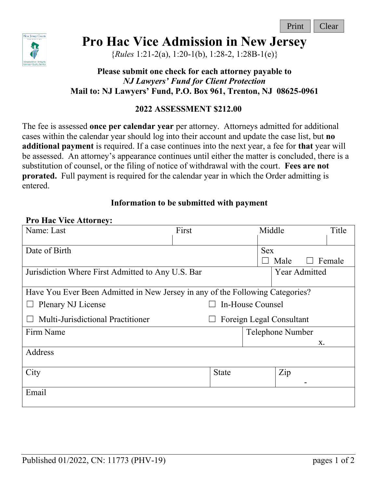

# **Pro Hac Vice Admission in New Jersey**

{*Rules* 1:21-2(a), 1:20-1(b), 1:28-2, 1:28B-1(e)}

# **Please submit one check for each attorney payable to**  *NJ Lawyers' Fund for Client Protection* **Mail to: NJ Lawyers' Fund, P.O. Box 961, Trenton, NJ 08625-0961**

# **2022 ASSESSMENT \$212.00**

The fee is assessed **once per calendar year** per attorney. Attorneys admitted for additional cases within the calendar year should log into their account and update the case list, but **no additional payment** is required. If a case continues into the next year, a fee for **that** year will be assessed. An attorney's appearance continues until either the matter is concluded, there is a substitution of counsel, or the filing of notice of withdrawal with the court. **Fees are not prorated.** Full payment is required for the calendar year in which the Order admitting is entered.

# **Information to be submitted with payment**

#### **Pro Hac Vice Attorney:**

| Name: Last                                                                    | First                    | Middle           |                              | Title |  |  |
|-------------------------------------------------------------------------------|--------------------------|------------------|------------------------------|-------|--|--|
| Date of Birth                                                                 |                          |                  | <b>Sex</b><br>Female<br>Male |       |  |  |
| Jurisdiction Where First Admitted to Any U.S. Bar                             |                          |                  | <b>Year Admitted</b>         |       |  |  |
| Have You Ever Been Admitted in New Jersey in any of the Following Categories? |                          |                  |                              |       |  |  |
| Plenary NJ License                                                            |                          | In-House Counsel |                              |       |  |  |
| Multi-Jurisdictional Practitioner                                             | Foreign Legal Consultant |                  |                              |       |  |  |
| Firm Name                                                                     |                          |                  | Telephone Number             |       |  |  |
|                                                                               |                          |                  | X.                           |       |  |  |
| Address                                                                       |                          |                  |                              |       |  |  |
| City                                                                          | <b>State</b>             |                  | Zip                          |       |  |  |
| Email                                                                         |                          |                  |                              |       |  |  |